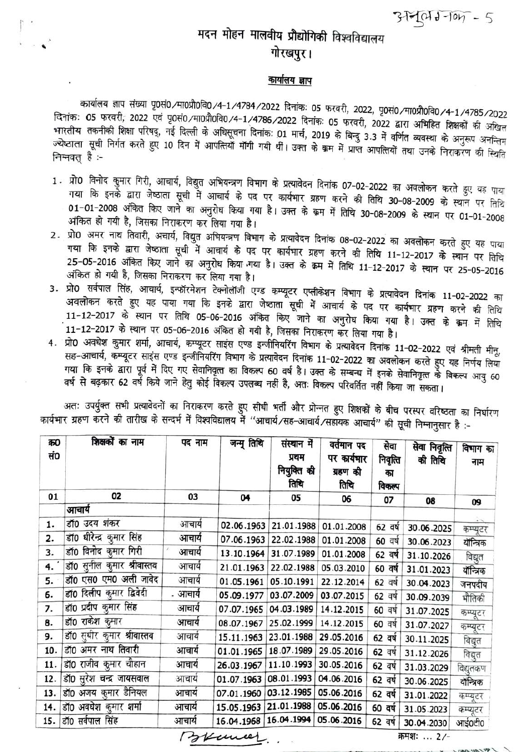$317011 - 607 - 5$ 

## मदन मोहन मालवीय प्रौद्योगिकी विश्वविद्यालय गोरखपुर।

## <u>कार्यालय ज्ञाप</u>

कार्यालय ज्ञाप संख्या पृ0सं0∕मा0प्रौ0वि0/4-1/4784/2022 दिनांकः 05 फरवरी, 2022, पृ0सं0⁄मा0प्रौ0वि0/4-1/4785/2022 दिनांकः 05 फरवरी, 2022 एवं पृ0सं0 ∕मा0प्रौ0वि0 ⁄4-1 ⁄4786 ⁄2022 दिनांकः 05 फरवरी, 2022 द्वारा अभिहित शिक्षकों की अखिल भारतीय तकनीकी शिक्षा परिषद्, नई दिल्ली के अधिसूचना दिनांक: 01 मार्च, 2019 के बिन्दु 3.3 में वर्णित व्यवस्था के अनुरूप अनन्तिम ज्येष्ठाता सूची निर्गत करते हुए 10 दिन में आपत्तियों मॉंगी गयी थीं। उक्त के क्रम में प्राप्त आपत्तियों तथा उनके निराकरण की स्थिति निम्नवत् है :-

- 1. प्रो0 विनोद कुमार गिरी, आचार्य, विद्युत अभियन्त्रण विभाग के प्रत्यावेदन दिनांक 07-02-2022 का अवलोकन करते हुए यह पाया गया कि इनके द्वारा जेष्ठाता सूची में आचार्य के पद पर कार्यभार ग्रहण करने की तिथि 30-08-2009 के स्थान पर तिथि 01-01-2008 अंकित किए जाने का अनुरोध किया गया है। उक्त के क्रम में तिथि 30-08-2009 के स्थान पर 01-01-2008 अंकित हो गयी है, जिसका निराकरण कर लिया गया है।
- 2. प्रो0 अमर नाथ तिवारी, अचार्य, विद्युत अभियन्त्रण विभाग के प्रत्यावेदन दिनांक 08-02-2022 का अवलोकन करते हुए यह पाया गया कि इनके द्वारा जेष्ठाता सूची में आचार्य के पद पर कार्यभार ग्रहण करने की तिथि 11-12-2017 के स्थान पर तिथि 25-05-2016 अंकित किए जाने का अनुरोध किया गया है। उक्त के क्रम में तिथि 11-12-2017 के स्थान पर 25-05-2016 अंकित हो गयी है, जिसका निराकरण कर लिया गया है।
- 3. प्रो0 सर्वपाल सिंह, आचार्य, इन्फॉरमेशन टेक्नोलॉजी एण्ड कम्प्यूटर एप्लीकेशन विभाग के प्रत्यावेदन दिनांक 11-02-2022 का अवलोकन करते हुए यह पाया गया कि इनके द्वारा जेष्ठाता सूची में आचार्य के पद पर कार्यभार ग्रहण करने की तिथि 11-12-2017 के स्थान पर तिथि 05-06-2016 अंकित किए जाने का अनुरोध किया गया है। उक्त के क्रम में तिथि 11-12-2017 के स्थान पर 05-06-2016 अंकित हो गयी है, जिसका निराकरण कर लिया गया है।
- 4. प्रो0 अवधेश कुमार शर्मा, आचार्य, कम्प्यूटर साइंस एण्ड इन्जीनियरिंग विभाग के प्रत्यावेदन दिनांक 11-02-2022 एवं श्रीमती मीनू, ...<br>सह-आचार्य, कम्प्यूटर साइंस एण्ड इन्जीनियरिंग विभाग के प्रत्यावेदन दिनांक 11-02-2022 का अवलोकन करते हुए यह निर्णय लिया गया कि इनके द्वारा पूर्व में दिए गए सेवानिवृत्त का विकल्प 60 वर्ष है। उक्त के सम्बन्ध में इनके सेवानिवृत्त के विकल्प आयु 60 वर्ष से बढ़कार 62 वर्ष किये जाने हेतु कोई विकल्प उपलब्ध नहीं है, अतः विकल्प परिवर्तित नहीं किया जा सकता।

अतः उपर्युक्त सभी प्रत्यावेदनों का निराकरण करते हुए सीधी भर्ती और प्रोन्नत हुए शिक्षकों के बीच परस्पर वरिष्ठता का निर्धारण कार्यभार ग्रहण करने की तारीख के सन्दर्भ में विश्वविद्यालय में "आचार्य/सह-आचार्य/सहायक आचार्य" की सूची निम्नानुसार है :-

| 450<br>सं० | शिक्षकों का नाम            | पद नाम | जन्मू तिथि              | संस्थान में<br>प्रथम<br>नियुक्ति की<br>तिथि | वर्तमान पद<br>पर कार्यमार<br>ग्रहण की<br>तिथि | सेवा<br>निवृत्ति<br>का<br>विकल्प | सेवा निवृत्ति<br>की तिथि | विभाग का<br>नाम |
|------------|----------------------------|--------|-------------------------|---------------------------------------------|-----------------------------------------------|----------------------------------|--------------------------|-----------------|
| 01         | 02                         | 03     | 04                      | 05                                          | 06                                            | 07                               | 08                       | 09              |
|            | आवार्य                     |        |                         |                                             |                                               |                                  |                          |                 |
| 1.         | डॉ0 उदय शंकर               | आचार्य | 02.06.1963              | 21.01.1988                                  | 01.01.2008                                    | 62 वर्ष                          | 30.06.2025               | कम्प्यूटर       |
| 2.         | डॉ0 धीरेन्द्र कुमार सिंह   | आचार्य | 07.06.1963              | 22.02.1988                                  | 01.01.2008                                    | 60 वर्ष                          | 30.06.2023               | यॉन्त्रिक       |
| 3.         | डॉ0 विनोद कुमार गिरी       | आचार्य | 13.10.1964              | 31.07.1989                                  | 01.01.2008                                    | 62 वर्ष                          | 31.10.2026               | विद्युत         |
| 4. '       | डॉ0 सुनील कुमार श्रीवास्तव | आचार्य | 21.01.1963              | 22.02.1988                                  | 05.03.2010                                    | 60 वर्ष                          | 31.01.2023               | यॉन्त्रिक       |
| 5.         | डॉ0 एस0 एम0 अली जावेद      | आचार्य | 01.05.1961              | 05.10.1991                                  | 22.12.2014                                    | 62 वर्ष                          | 30.04.2023               | जनपदीय          |
| 6.         | डॉ0 दिलीप कुमार द्विवेदी   | आचार्य | 05.09.1977              | 03.07.2009                                  | 03.07.2015                                    | 62 वर्ष                          | 30.09.2039               | भौतिकी          |
| 7.         | डॉ0 प्रदीप कुमार सिंह      | आचार्य | 07.07.1965              | 04.03.1989                                  | 14.12.2015                                    | 60 वर्ष                          | 31.07.2025               | कम्प्यूटर       |
| 8.         | डॉ0 राकेश कुमार            | आचार्य | 08.07.1967              | 25.02.1999                                  | 14.12.2015                                    | 60 वर्ष                          | 31.07.2027               | कम्प्यूटर       |
| 9.         | डॉ0 सुधीर कुमार श्रीवास्तव | आचार्य | 15.11.1963              | 23.01.1988                                  | 29.05.2016                                    | 62 वर्ष                          | 30.11.2025               | विद्युत         |
| 10.        | डॉ0 अमर नाथ तिवारी         | आचार्य | 01.01.1965              | 18.07.1989                                  | 29.05.2016                                    | 62 वर्ष                          | 31.12.2026               | विद्युत         |
| 11.        | डॉ0 राजीव कुमार चौहान      | आचार्य | 26.03.1967              | 11.10.1993                                  | 30.05.2016                                    | 62 वर्ष                          | 31.03.2029               | विद्युतकण       |
| 12.        | डॉ0 सुरेश चन्द्र जायसवाल   | आचार्य | 01.07.1963              | 08.01.1993                                  | 04.06.2016                                    | 62 वर्ष                          | 30.06.2025               | यॉन्त्रिक       |
| 13.        | डॉ0 अजय कुमार डैनियल       | आचार्य | 07.01.1960              | 03.12.1985                                  | 05.06.2016                                    | 62 वर्ष                          | 31.01.2022               | कम्प्यूटर       |
|            | 14. डॉ0 अवधेश कुमार शर्मा  | आचार्य | 15.05.1963 21.01.1988   |                                             | 05.06.2016                                    | 60 वर्ष                          | 31.05.2023               | कम्प्यूटर       |
| 15.        | डॉ0 सर्वपाल सिंह           | आचार्य | 16.04.1968   16.04.1994 |                                             | 05.06.2016                                    | 62 वर्ष                          | 30.04.2030               | आई0टी0          |

Brances.

क्रमशः ... 2/-

 $797$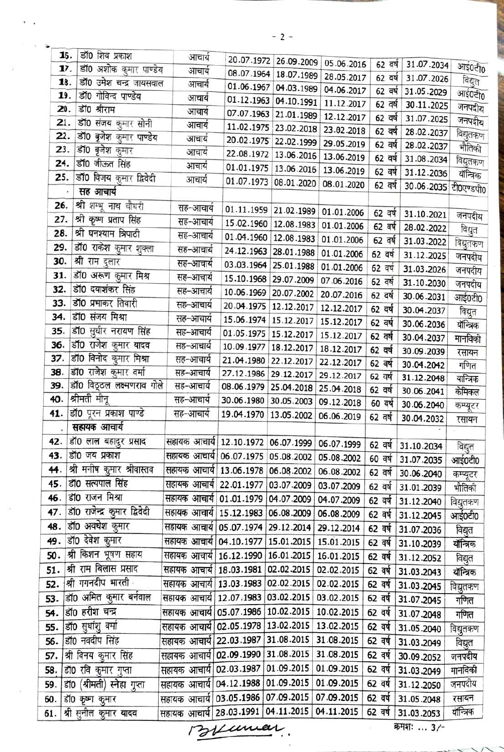|                      | डॉ0 शिव प्रकाश<br>15.           |                                                     |            |                         |                       |           |                       |           |
|----------------------|---------------------------------|-----------------------------------------------------|------------|-------------------------|-----------------------|-----------|-----------------------|-----------|
|                      | डॉ0 अशोक कुमार पाण्डेय<br>17.   | आचार्य                                              |            | 20.07.1972 26.09.2009   | 05.06.2016            | 62 वर्ष   | 31.07.2034            | आई0टी0    |
|                      | डाँ0 उमेश चन्द्र जायसवाल<br>18. | आचार्य                                              |            | 08.07.1964 18.07.1989   | 28.05.2017            | 62 वर्ष   | 31.07.2026            | विद्युत   |
|                      | डॉ0 गोविन्द पाण्डेय<br>19.      | आचार्य                                              |            | 01.06.1967 04.03.1989   | 04.06.2017            | 62 वर्ष   | 31.05.2029            | आई0टी0    |
| 20.                  | डॉ0 श्रीराम                     | आचार्य                                              | 01.12.1963 | 04.10.1991              | 11.12.2017            | 62 वर्ष   | 30.11.2025            | जनपदीय    |
| 21.                  | डॉ0 संजय कुमार सोनी             | आचार्य                                              |            | 07.07.1963 21.01.1989   | 12.12.2017            | 62 वर्ष   | 31.07.2025            | जनपदीय    |
| 22.                  | डॉ0 बृजेश कुमार पाण्डेय         | आचार्य                                              | 11.02.1975 | 23.02.2018              | 23.02.2018            | 62 वर्ष   | 28.02.2037            | विद्युतकण |
| 23.                  | डॉ0 बृजेश कुमार                 | आचार्य                                              | 20.02.1975 | 22.02.1999              | 29.05.2019            | 62 वर्ष   | 28.02.2037            | भौतिकी    |
| 24.                  | डॉ0 जीऊत सिंह                   | आचार्य                                              |            | 22.08.1972 13.06.2016   | 13.06.2019            | 62 वर्ष   | 31.08.2034            | विद्युतकण |
| 25.                  | डॉ0 विजय कुमार द्विवेदी         | आचार्य                                              | 01.01.1975 | 13.06.2016              | 13.06.2019            | 62 वर्ष   | 31.12.2036            | यॉन्त्रिक |
|                      | सह आचार्य                       | आचार्य                                              | 01.07.1973 | 08.01.2020              | 08.01.2020            | 62 वर्ष   | 30.06.2035 टी0एण्डपी0 |           |
| 26.                  |                                 |                                                     |            |                         |                       |           |                       |           |
|                      | श्री शम्भू नाथ चौधरी            | सह-आचार्य                                           | 01.11.1959 |                         | 21.02.1989 01.01.2006 | 62 वर्ष   | 31.10.2021            | जनपदीय    |
| 27.<br>28.           | श्री कृष्ण प्रताप सिंह          | सह-आचार्य                                           | 15.02.1960 | 12.08.1983              | 01.01.2006            | 62 वर्ष   | 28.02.2022            | विद्युत   |
|                      | श्री घनश्याम त्रिपाठी           | सह-आचार्य                                           |            | 01.04.1960   12.08.1983 | 01.01.2006            | 62 वर्ष   | 31.03.2022            | विद्युतकण |
| 29.                  | डॉ0 राकेश कुमार शुक्ला          | सह-आचार्य                                           |            | 24.12.1963 28.01.1988   | 01.01.2006            | 62 वर्ष   | 31.12.2025            | जनपदीय    |
| 30.                  | श्री राम दुलार                  | सह–आचार्य                                           |            | 03.03.1964 25.01.1988   | 01.01.2006            | 62 वर्ष   | 31.03.2026            | जनपदीय    |
| 31.                  | डॉ0 अरूण कुमार मिश्र            | सह–आचार्य                                           | 15.10.1968 | 29.07.2009              | 07.06.2016            | 62 वर्ष   | 31.10.2030            | जनपदीय    |
| 32.                  | डॉ0 दयाशंकर सिंह                | सह-आचार्य                                           | 10.06.1969 | 20.07.2002              | 20.07.2016            | 62 वर्ष   | 30.06.2031            | आई0टी0    |
| 33.                  | डॉ0 प्रभाकर तिवारी              | सह–आचार्य                                           | 20.04.1975 | 12.12.2017              | 12.12.2017            | 62 वर्ष   | 30.04.2037            | विद्युत   |
| 34.                  | डॉ0 संजय मिश्रा                 | सह–आचार्य                                           |            | 15.06.1974 15.12.2017   | 15.12.2017            | 62 वर्ष   | 30.06.2036            | यॉन्त्रिक |
| 35.                  | डॉ0 सुधीर नरायण सिंह            | सह–आचार्य                                           |            | 01.05.1975   15.12.2017 | 15.12.2017            | 62 वर्ष   | 30.04.2037            | मानविकी   |
| 36.                  | डॉ0 राजेश कुमार यादव            | सह–आचार्य                                           | 10.09.1977 | 18.12.2017              | 18.12.2017            | 62 वर्ष   | 30.09.2039            | रसायन     |
| 37.                  | डॉ0 विनोद कुमार मिश्रा          | सह-आचार्य                                           | 21.04.1980 | 22.12.2017              | 22.12.2017            | 62 वर्ष   | 30.04.2042            | गणित      |
| 38.                  | डॉ0 राजेश कुमार वर्मा           | सह–आचार्य                                           | 27.12.1986 | 29.12.2017              | 29.12.2017            | 62 वर्ष   | 31.12.2048            | यान्त्रिक |
| 39.                  | डॉ0 विठ्ठल लक्ष्मणराव गोले      | सह-आचार्य                                           | 08.06.1979 | 25.04.2018              | 25.04.2018            | 62 वर्ष   | 30.06.2041            | केमिकल    |
| 40.                  | श्रीमती मीनू                    | सह-आचार्य                                           | 30.06.1980 | 30.05.2003              | 09.12.2018            | 60 वर्ष   | 30.06.2040            | कम्प्यूटर |
| 41.                  | डॉ0 पूरन प्रकाश पाण्डे          | सह–आचार्य                                           | 19.04.1970 | 13.05.2002              | 06.06.2019            | 62 वर्ष   | 30.04.2032            | रसायन     |
| $\ddot{\phantom{0}}$ | सहायक आचार्य                    |                                                     |            |                         |                       |           |                       |           |
| 42.                  | डॉ0 लाल बहादुर प्रसाद           | सहायक आचार्य   12.10.1972   06.07.1999              |            |                         | 06.07.1999            | 62 वर्ष   | 31.10.2034            | विद्युत   |
| 43.                  | डॉ0 जय प्रकाश                   | सहायक आचार्य 06.07.1975 05.08.2002                  |            |                         | 05.08.2002            | $60$ वर्ष | 31.07.2035            | आई0टी0    |
| 44.                  | श्री मनीष कुमार श्रीवास्तव      | सहायक आचार्य 13.06.1978 06.08.2002                  |            |                         | 06.08.2002            | 62 वर्ष   | 30.06.2040            | कम्प्यूटर |
| 45.                  | डॉ0 सत्यपाल सिंह                | सहायक आचार्य   22.01.1977   03.07.2009              |            |                         | 03.07.2009            |           | 62 वर्ष 31.01.2039    | भौतिकी    |
| 46.                  | डॉ0 राजन मिश्रा                 | सहायक आचार्य   01.01.1979   04.07.2009              |            |                         | 04.07.2009            |           | 62 वर्ष 31.12.2040    | विद्युतकण |
| 47.                  | डॉ0 राजेन्द्र कुमार द्विवेदी    | सहायक आचार्य   15.12.1983   06.08.2009              |            |                         | 06.08.2009            |           | 62 वर्ष 31.12.2045    | आई0टी0    |
| 48.                  | डॉ0 अवधेश कुमार                 | सहायक आचार्य   05.07.1974   29.12.2014              |            |                         | 29.12.2014            | 62 वर्ष   | 31.07.2036            | विद्युत   |
| 49.                  | डॉ0 देवेश कुमार                 | सहायक आचार्य   04.10.1977   15.01.2015   15.01.2015 |            |                         |                       | 62 वर्ष   | 31.10.2039            | यॉन्त्रिक |
| 50.                  | श्री किशन भूषण सहाय             | सहायक आचार्य   16.12.1990   16.01.2015              |            |                         | 16.01.2015            | 62 वर्ष   | 31.12.2052            | विद्युत   |
| 51.                  | श्री राम बिलास प्रसाद           | सहायक आचार्य   18.03.1981   02.02.2015   02.02.2015 |            |                         |                       | 62 वर्ष   | 31.03.2043            | यॉन्त्रिक |
| 52.                  | श्री गगनदीप भारती -             | सहायक आचार्य   13.03.1983   02.02.2015              |            |                         | 02.02.2015            | 62 वर्ष   | 31.03.2045            | विद्युतकण |
| 53.                  | डाॅ0 अमित कुमार बर्नवाल         | सहायक आचार्य   12.07.1983   03.02.2015              |            |                         | 03.02.2015            | 62 वर्ष   | 31.07.2045            | गणित      |
| 54.                  | डॉ0 हरीश चन्द्र                 | सहायक आचार्य   05.07.1986   10.02.2015   10.02.2015 |            |                         |                       |           | 62 वर्ष 31.07.2048    | गणित      |
| 55.                  | डाॅ0 सुधांशु वर्मा              | सहायक आचार्य   02.05.1978   13.02.2015   13.02.2015 |            |                         |                       | 62 वर्ष   | 31.05.2040            |           |
| 56.                  | डी0 नवदीप सिंह                  | सहायक आचार्य 22.03.1987 31.08.2015 31.08.2015       |            |                         |                       | 62 वर्ष   |                       | विद्युतकण |
| 57.                  | श्री विनय कुमार सिंह            | सहायक आचार्य   02.09.1990   31.08.2015              |            |                         | 31.08.2015            | 62 वर्ष   | 31.03.2049            | विद्युत   |
|                      |                                 | सहायक आचार्य 02.03.1987 01.09.2015 01.09.2015       |            |                         |                       | 62 वर्ष   | 30.09.2052            | जनपदीय    |
| 58.                  | डॉ0 रवि कुमार गुप्ता            |                                                     |            |                         |                       |           | 31.03.2049            | मानविकी   |
| 59.                  | डॉ0 (श्रीमती) स्नेहा गुप्ता     | सहायक आचार्य 04.12.1988 01.09.2015 01.09.2015       |            |                         |                       | 62 वर्ष   | 31.12.2050            | जनपदीय    |
| 60.                  | डॉ0 कृष्ण कुमार                 | सहायक आचार्य 03.05.1986 07.09.2015 07.09.2015       |            |                         |                       | 62 वर्ष   | 31.05.2048            | रसायन     |
| 61.                  | श्री सुनील कुमार यादव           | सहायक आचार्य 28.03.1991 04.11.2015 04.11.2015       |            |                         |                       | 62 वर्ष   | 31.03.2053            | यान्त्रिक |

 $-2 -$ 

Bilancer

कमशः ... 3/-

 $\sim$   $\sim$ 

 $\prime$